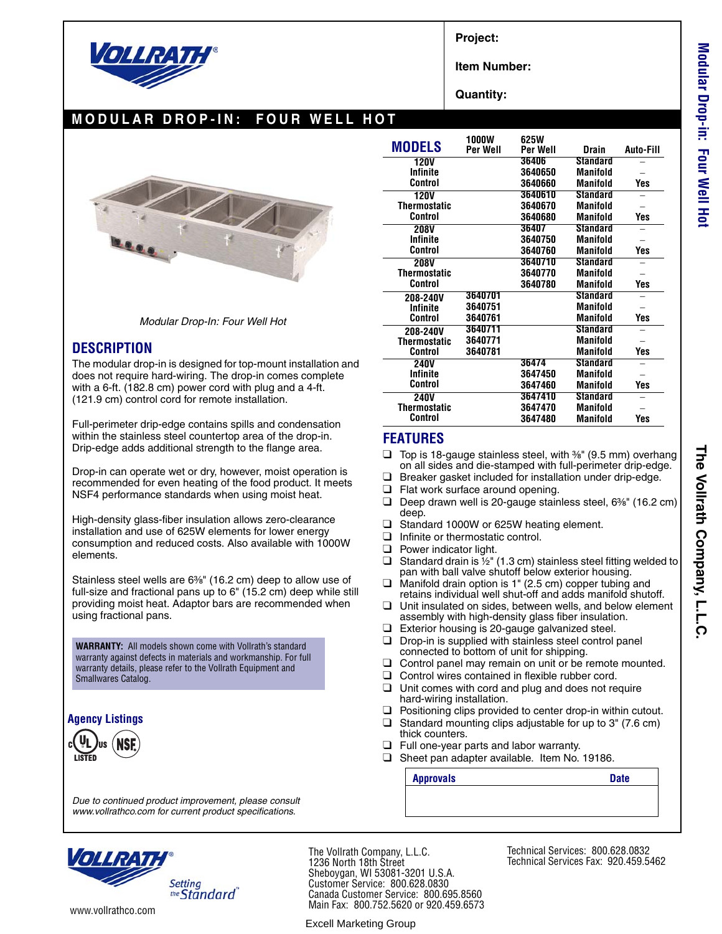

**Project:**

**Item Number:**

**Quantity:**

# **MODULAR DROP-IN: FOUR WELL HOT**



*Modular Drop-In: Four Well Hot*

### **DESCRIPTION**

The modular drop-in is designed for top-mount installation and does not require hard-wiring. The drop-in comes complete with a 6-ft. (182.8 cm) power cord with plug and a 4-ft. (121.9 cm) control cord for remote installation.

Full-perimeter drip-edge contains spills and condensation within the stainless steel countertop area of the drop-in. Drip-edge adds additional strength to the flange area.

Drop-in can operate wet or dry, however, moist operation is recommended for even heating of the food product. It meets NSF4 performance standards when using moist heat.

High-density glass-fiber insulation allows zero-clearance installation and use of 625W elements for lower energy consumption and reduced costs. Also available with 1000W elements.

Stainless steel wells are 6<sup>3/8"</sup> (16.2 cm) deep to allow use of full-size and fractional pans up to 6" (15.2 cm) deep while still providing moist heat. Adaptor bars are recommended when using fractional pans.

**WARRANTY:** All models shown come with Vollrath's standard warranty against defects in materials and workmanship. For full warranty details, please refer to the Vollrath Equipment and Smallwares Catalog.

#### **Agency Listings**



*Due to continued product improvement, please consult www.vollrathco.com for current product specifications.*

|                     | <b>1000W</b> | 625W     |                 |                  |
|---------------------|--------------|----------|-----------------|------------------|
| <b>MODELS</b>       | Per Well     | Per Well | Drain           | <b>Auto-Fill</b> |
| <b>120V</b>         |              | 36406    | <b>Standard</b> |                  |
| Infinite            |              | 3640650  | <b>Manifold</b> |                  |
| Control             |              | 3640660  | <b>Manifold</b> | Yes              |
| <b>120V</b>         |              | 3640610  | <b>Standard</b> |                  |
| <b>Thermostatic</b> |              | 3640670  | Manifold        |                  |
| Control             |              | 3640680  | <b>Manifold</b> | Yes              |
| <b>208V</b>         |              | 36407    | <b>Standard</b> |                  |
| Infinite            |              | 3640750  | Manifold        |                  |
| Control             |              | 3640760  | <b>Manifold</b> | Yes              |
| <b>208V</b>         |              | 3640710  | <b>Standard</b> |                  |
| Thermostatic        |              | 3640770  | Manifold        |                  |
| Control             |              | 3640780  | Manifold        | Yes              |
| 208-240V            | 3640701      |          | <b>Standard</b> |                  |
| <b>Infinite</b>     | 3640751      |          | Manifold        |                  |
| Control             | 3640761      |          | Manifold        | Yes              |
| 208-240V            | 3640711      |          | <b>Standard</b> |                  |
| <b>Thermostatic</b> | 3640771      |          | Manifold        |                  |
| Control             | 3640781      |          | Manifold        | Yes              |
| <b>240V</b>         |              | 36474    | Standard        |                  |
| <b>Infinite</b>     |              | 3647450  | <b>Manifold</b> |                  |
| Control             |              | 3647460  | Manifold        | Yes              |
| <b>240V</b>         |              | 3647410  | <b>Standard</b> |                  |
| Thermostatic        |              | 3647470  | <b>Manifold</b> |                  |
| Control             |              | 3647480  | Manifold        | Yes              |

### **FEATURES**

- $\Box$  Top is 18-gauge stainless steel, with  $\frac{36}{8}$  (9.5 mm) overhang on all sides and die-stamped with full-perimeter drip-edge.
- ❑ Breaker gasket included for installation under drip-edge.
- ❑ Flat work surface around opening.
- $\Box$  Deep drawn well is 20-gauge stainless steel, 6<sup>3</sup>/<sub>8</sub><sup> $\degree$ </sup> (16.2 cm) deep.
- ❑ Standard 1000W or 625W heating element.
- ❑ Infinite or thermostatic control.
- ❑ Power indicator light.
- □ Standard drain is  $\frac{1}{2}$ " (1.3 cm) stainless steel fitting welded to pan with ball valve shutoff below exterior housing.
- ❑ Manifold drain option is 1" (2.5 cm) copper tubing and retains individual well shut-off and adds manifold shutoff.
- ❑ Unit insulated on sides, between wells, and below element assembly with high-density glass fiber insulation.
- ❑ Exterior housing is 20-gauge galvanized steel.
- ❑ Drop-in is supplied with stainless steel control panel connected to bottom of unit for shipping.
- □ Control panel may remain on unit or be remote mounted.
- ❑ Control wires contained in flexible rubber cord.
- ❑ Unit comes with cord and plug and does not require hard-wiring installation.
- ❑ Positioning clips provided to center drop-in within cutout.
- $\Box$  Standard mounting clips adjustable for up to 3" (7.6 cm) thick counters.
- ❑ Full one-year parts and labor warranty.
- ❑ Sheet pan adapter available. Item No. 19186.

**Approvals Date**



www.vollrathco.com

Sheboygan, WI 53081-3201 U.S.A. Customer Service: 800.628.0830 Canada Customer Service: 800.695.8560 Main Fax: 800.752.5620 or 920.459.6573

Excell Marketing Group

The Vollrath Company, L.L.C. 1236 North 18th Street

Technical Services: 800.628.0832 Technical Services Fax: 920.459.5462